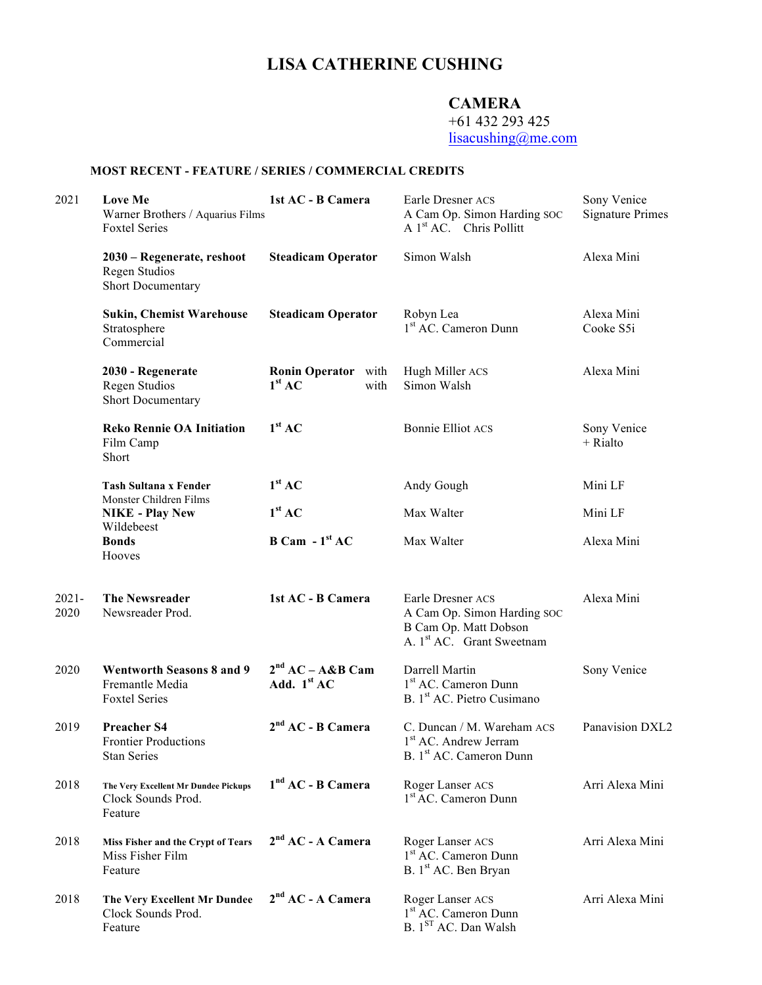# **LISA CATHERINE CUSHING**

## **CAMERA**

+61 432 293 425

lisacushing@me.com

### **MOST RECENT - FEATURE / SERIES / COMMERCIAL CREDITS**

| 2021             | Love Me<br>Warner Brothers / Aquarius Films<br><b>Foxtel Series</b>         | 1st AC - B Camera                                        | Earle Dresner ACS<br>A Cam Op. Simon Harding SOC<br>A 1 <sup>st</sup> AC. Chris Pollitt                            | Sony Venice<br><b>Signature Primes</b> |
|------------------|-----------------------------------------------------------------------------|----------------------------------------------------------|--------------------------------------------------------------------------------------------------------------------|----------------------------------------|
|                  | 2030 - Regenerate, reshoot<br>Regen Studios<br><b>Short Documentary</b>     | <b>Steadicam Operator</b>                                | Simon Walsh                                                                                                        | Alexa Mini                             |
|                  | <b>Sukin, Chemist Warehouse</b><br>Stratosphere<br>Commercial               | <b>Steadicam Operator</b>                                | Robyn Lea<br>1 <sup>st</sup> AC. Cameron Dunn                                                                      | Alexa Mini<br>Cooke S5i                |
|                  | 2030 - Regenerate<br>Regen Studios<br>Short Documentary                     | <b>Ronin Operator</b> with<br>1 <sup>st</sup> AC<br>with | Hugh Miller ACS<br>Simon Walsh                                                                                     | Alexa Mini                             |
|                  | <b>Reko Rennie OA Initiation</b><br>Film Camp<br>Short                      | 1 <sup>st</sup> AC                                       | <b>Bonnie Elliot ACS</b>                                                                                           | Sony Venice<br>$+$ Rialto              |
|                  | <b>Tash Sultana x Fender</b>                                                | 1 <sup>st</sup> AC                                       | Andy Gough                                                                                                         | Mini LF                                |
|                  | Monster Children Films<br><b>NIKE - Play New</b>                            | 1 <sup>st</sup> AC                                       | Max Walter                                                                                                         | Mini LF                                |
|                  | Wildebeest<br><b>Bonds</b><br>Hooves                                        | $B Cam - 1st AC$                                         | Max Walter                                                                                                         | Alexa Mini                             |
| $2021 -$<br>2020 | <b>The Newsreader</b><br>Newsreader Prod.                                   | 1st AC - B Camera                                        | Earle Dresner ACS<br>A Cam Op. Simon Harding SOC<br>B Cam Op. Matt Dobson<br>A. 1 <sup>st</sup> AC. Grant Sweetnam | Alexa Mini                             |
| 2020             | <b>Wentworth Seasons 8 and 9</b><br>Fremantle Media<br><b>Foxtel Series</b> | $2nd AC - A&B$ Cam<br>Add. $1st AC$                      | Darrell Martin<br>1 <sup>st</sup> AC. Cameron Dunn<br>B. 1 <sup>st</sup> AC. Pietro Cusimano                       | Sony Venice                            |
| 2019             | <b>Preacher S4</b><br><b>Frontier Productions</b><br><b>Stan Series</b>     | $2nd AC - B Camera$                                      | C. Duncan / M. Wareham ACS<br>1 <sup>st</sup> AC. Andrew Jerram<br>B. 1 <sup>st</sup> AC. Cameron Dunn             | Panavision DXL2                        |
| 2018             | The Very Excellent Mr Dundee Pickups<br>Clock Sounds Prod.<br>Feature       | $1nd AC - B Camera$                                      | Roger Lanser ACS<br>1 <sup>st</sup> AC. Cameron Dunn                                                               | Arri Alexa Mini                        |
| 2018             | Miss Fisher and the Crypt of Tears<br>Miss Fisher Film<br>Feature           | $2nd AC - A Camera$                                      | Roger Lanser ACS<br>1 <sup>st</sup> AC. Cameron Dunn<br>B. 1 <sup>st</sup> AC. Ben Bryan                           | Arri Alexa Mini                        |
| 2018             | The Very Excellent Mr Dundee<br>Clock Sounds Prod.<br>Feature               | 2 <sup>nd</sup> AC - A Camera                            | Roger Lanser ACS<br>1 <sup>st</sup> AC. Cameron Dunn<br>B. 1 <sup>ST</sup> AC. Dan Walsh                           | Arri Alexa Mini                        |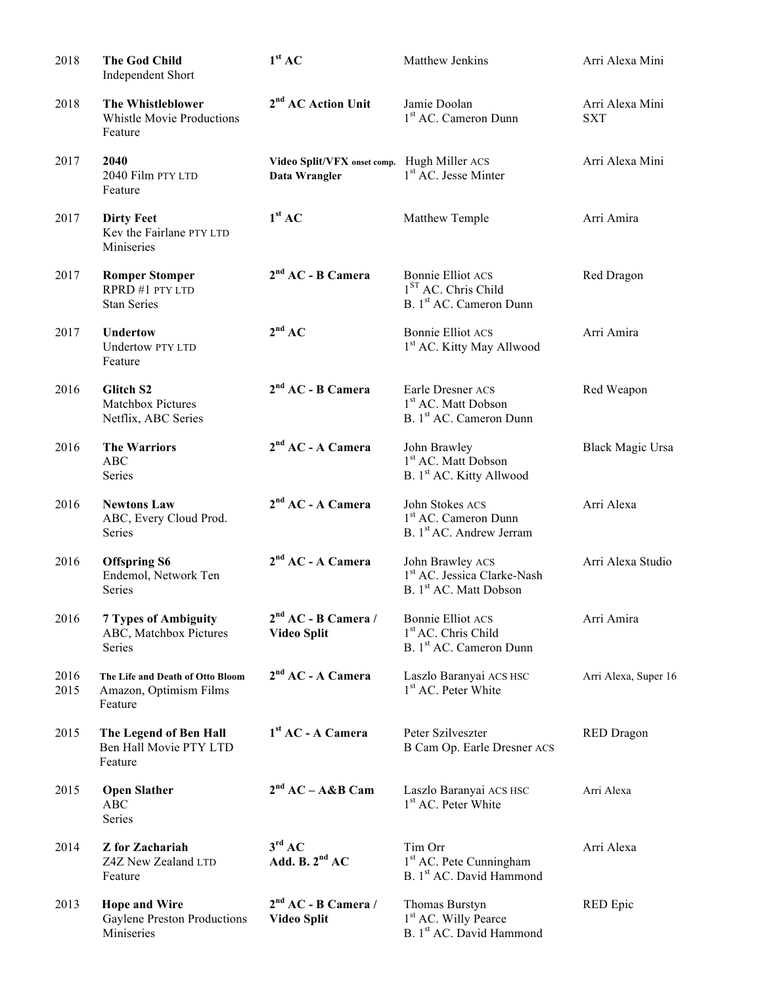| 2018         | <b>The God Child</b><br>Independent Short                             | 1 <sup>st</sup> AC                                           | Matthew Jenkins                                                                                    | Arri Alexa Mini               |
|--------------|-----------------------------------------------------------------------|--------------------------------------------------------------|----------------------------------------------------------------------------------------------------|-------------------------------|
| 2018         | The Whistleblower<br><b>Whistle Movie Productions</b><br>Feature      | 2 <sup>nd</sup> AC Action Unit                               | Jamie Doolan<br>1 <sup>st</sup> AC. Cameron Dunn                                                   | Arri Alexa Mini<br><b>SXT</b> |
| 2017         | 2040<br>2040 Film PTY LTD<br>Feature                                  | Video Split/VFX onset comp. Hugh Miller ACS<br>Data Wrangler | 1 <sup>st</sup> AC. Jesse Minter                                                                   | Arri Alexa Mini               |
| 2017         | <b>Dirty Feet</b><br>Kev the Fairlane PTY LTD<br>Miniseries           | 1 <sup>st</sup> AC                                           | Matthew Temple                                                                                     | Arri Amira                    |
| 2017         | <b>Romper Stomper</b><br>RPRD #1 PTY LTD<br><b>Stan Series</b>        | $2nd AC - B Camera$                                          | <b>Bonnie Elliot ACS</b><br>1 <sup>ST</sup> AC. Chris Child<br>B. 1 <sup>st</sup> AC. Cameron Dunn | Red Dragon                    |
| 2017         | <b>Undertow</b><br>Undertow PTY LTD<br>Feature                        | $2^{nd}$ AC                                                  | <b>Bonnie Elliot ACS</b><br>1st AC. Kitty May Allwood                                              | Arri Amira                    |
| 2016         | Glitch S2<br>Matchbox Pictures<br>Netflix, ABC Series                 | $2nd AC - B Camera$                                          | Earle Dresner ACS<br>1 <sup>st</sup> AC. Matt Dobson<br>B. 1 <sup>st</sup> AC. Cameron Dunn        | Red Weapon                    |
| 2016         | <b>The Warriors</b><br><b>ABC</b><br>Series                           | $2nd AC - A Camera$                                          | John Brawley<br>1 <sup>st</sup> AC. Matt Dobson<br>B. 1 <sup>st</sup> AC. Kitty Allwood            | <b>Black Magic Ursa</b>       |
| 2016         | <b>Newtons Law</b><br>ABC, Every Cloud Prod.<br>Series                | $2nd AC - A Camera$                                          | John Stokes ACS<br>1 <sup>st</sup> AC. Cameron Dunn<br>B. 1 <sup>st</sup> AC. Andrew Jerram        | Arri Alexa                    |
| 2016         | <b>Offspring S6</b><br>Endemol, Network Ten<br>Series                 | $2nd AC - A Camera$                                          | John Brawley ACS<br>1 <sup>st</sup> AC. Jessica Clarke-Nash<br>B. 1st AC. Matt Dobson              | Arri Alexa Studio             |
| 2016         | <b>7 Types of Ambiguity</b><br>ABC, Matchbox Pictures<br>Series       | $2nd AC - B Camera /$<br><b>Video Split</b>                  | <b>Bonnie Elliot ACS</b><br>1 <sup>st</sup> AC. Chris Child<br>B. 1 <sup>st</sup> AC. Cameron Dunn | Arri Amira                    |
| 2016<br>2015 | The Life and Death of Otto Bloom<br>Amazon, Optimism Films<br>Feature | $2nd AC - A Camera$                                          | Laszlo Baranyai ACS HSC<br>1 <sup>st</sup> AC. Peter White                                         | Arri Alexa, Super 16          |
| 2015         | The Legend of Ben Hall<br>Ben Hall Movie PTY LTD<br>Feature           | $1st$ AC - A Camera                                          | Peter Szilveszter<br>B Cam Op. Earle Dresner ACS                                                   | <b>RED</b> Dragon             |
| 2015         | <b>Open Slather</b><br><b>ABC</b><br>Series                           | $2nd AC - A&B$ Cam                                           | Laszlo Baranyai ACS HSC<br>1 <sup>st</sup> AC. Peter White                                         | Arri Alexa                    |
| 2014         | <b>Z</b> for Zachariah<br>Z4Z New Zealand LTD<br>Feature              | $3^{\text{rd}}$ AC<br>Add. B. $2nd AC$                       | Tim Orr<br>1 <sup>st</sup> AC. Pete Cunningham<br>B. 1st AC. David Hammond                         | Arri Alexa                    |
| 2013         | <b>Hope and Wire</b><br>Gaylene Preston Productions<br>Miniseries     | $2nd AC - B Camera /$<br><b>Video Split</b>                  | Thomas Burstyn<br>1 <sup>st</sup> AC. Willy Pearce<br>B. 1st AC. David Hammond                     | RED Epic                      |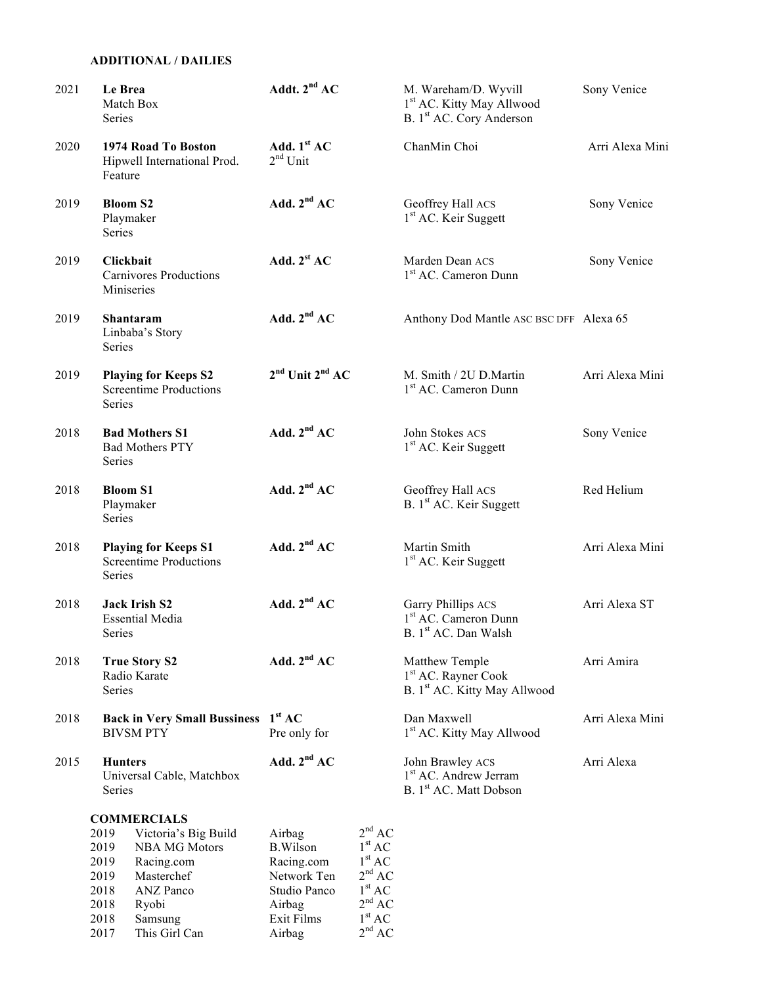#### **ADDITIONAL / DAILIES**

| 2021 | Le Brea<br>Match Box<br>Series                                                                                                                                              | Addt. $2^{nd}$ AC                                                                |                                                                                                                            | M. Wareham/D. Wyvill<br>1 <sup>st</sup> AC. Kitty May Allwood<br>B. 1 <sup>st</sup> AC. Cory Anderson | Sony Venice     |
|------|-----------------------------------------------------------------------------------------------------------------------------------------------------------------------------|----------------------------------------------------------------------------------|----------------------------------------------------------------------------------------------------------------------------|-------------------------------------------------------------------------------------------------------|-----------------|
| 2020 | 1974 Road To Boston<br>Hipwell International Prod.<br>Feature                                                                                                               | Add. $1st AC$<br>$2nd$ Unit                                                      |                                                                                                                            | ChanMin Choi                                                                                          | Arri Alexa Mini |
| 2019 | <b>Bloom S2</b><br>Playmaker<br>Series                                                                                                                                      | Add. $2nd AC$                                                                    |                                                                                                                            | Geoffrey Hall ACS<br>1 <sup>st</sup> AC. Keir Suggett                                                 | Sony Venice     |
| 2019 | Clickbait<br><b>Carnivores Productions</b><br>Miniseries                                                                                                                    | Add. $2st AC$                                                                    |                                                                                                                            | Marden Dean ACS<br>1 <sup>st</sup> AC. Cameron Dunn                                                   | Sony Venice     |
| 2019 | Shantaram<br>Linbaba's Story<br>Series                                                                                                                                      | Add. $2nd AC$                                                                    |                                                                                                                            | Anthony Dod Mantle ASC BSC DFF Alexa 65                                                               |                 |
| 2019 | <b>Playing for Keeps S2</b><br><b>Screentime Productions</b><br>Series                                                                                                      | $2nd$ Unit $2nd$ AC                                                              |                                                                                                                            | M. Smith / 2U D.Martin<br>1 <sup>st</sup> AC. Cameron Dunn                                            | Arri Alexa Mini |
| 2018 | <b>Bad Mothers S1</b><br><b>Bad Mothers PTY</b><br>Series                                                                                                                   | Add. $2nd AC$                                                                    |                                                                                                                            | John Stokes ACS<br>1 <sup>st</sup> AC. Keir Suggett                                                   | Sony Venice     |
| 2018 | <b>Bloom S1</b><br>Playmaker<br>Series                                                                                                                                      | Add. $2nd AC$                                                                    |                                                                                                                            | Geoffrey Hall ACS<br>B. 1 <sup>st</sup> AC. Keir Suggett                                              | Red Helium      |
| 2018 | <b>Playing for Keeps S1</b><br><b>Screentime Productions</b><br>Series                                                                                                      | Add. $2nd AC$                                                                    |                                                                                                                            | Martin Smith<br>1 <sup>st</sup> AC. Keir Suggett                                                      | Arri Alexa Mini |
| 2018 | <b>Jack Irish S2</b><br><b>Essential Media</b><br>Series                                                                                                                    | Add. $2nd AC$                                                                    |                                                                                                                            | Garry Phillips ACS<br>1 <sup>st</sup> AC. Cameron Dunn<br>B. 1 <sup>st</sup> AC. Dan Walsh            | Arri Alexa ST   |
| 2018 | <b>True Story S2</b><br>Radio Karate<br>Series                                                                                                                              | Add. $2nd AC$                                                                    |                                                                                                                            | Matthew Temple<br>1 <sup>st</sup> AC. Rayner Cook<br>B. 1st AC. Kitty May Allwood                     | Arri Amira      |
| 2018 | Back in Very Small Bussiness 1st AC<br><b>BIVSM PTY</b>                                                                                                                     | Pre only for                                                                     |                                                                                                                            | Dan Maxwell<br>1 <sup>st</sup> AC. Kitty May Allwood                                                  | Arri Alexa Mini |
| 2015 | <b>Hunters</b><br>Universal Cable, Matchbox<br>Series                                                                                                                       | Add. $2nd AC$                                                                    |                                                                                                                            | John Brawley ACS<br>1 <sup>st</sup> AC. Andrew Jerram<br>B. 1 <sup>st</sup> AC. Matt Dobson           | Arri Alexa      |
|      | <b>COMMERCIALS</b><br>2019<br>Victoria's Big Build<br>2019<br><b>NBA MG Motors</b><br>2019<br>Racing.com<br>Masterchef<br>2019<br>2018<br><b>ANZ</b> Panco<br>2018<br>Ryobi | Airbag<br><b>B.Wilson</b><br>Racing.com<br>Network Ten<br>Studio Panco<br>Airbag | 2 <sup>nd</sup> AC<br>1 <sup>st</sup> AC<br>1 <sup>st</sup> AC<br>2 <sup>nd</sup> AC<br>$1^{\rm st}$ AC<br>$2^{\rm nd}$ AC |                                                                                                       |                 |

2018 Samsung Exit Films 1<sup>st</sup> AC 2017 This Girl Can Airbag  $2<sup>nd</sup> AC$